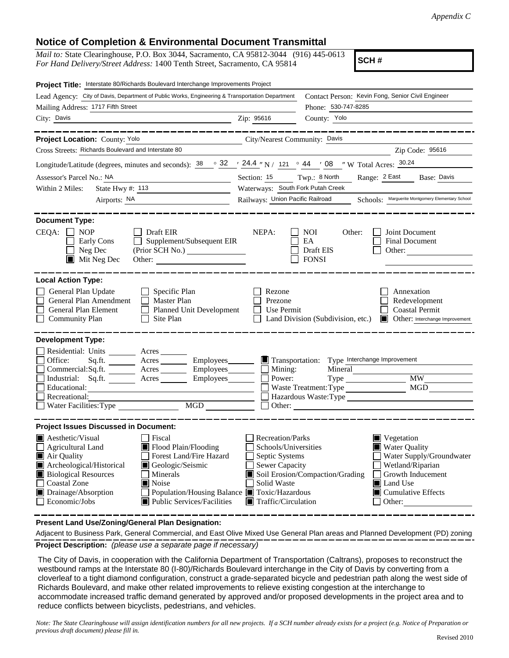## **Notice of Completion & Environmental Document Transmittal**

*Mail to:* State Clearinghouse, P.O. Box 3044, Sacramento, CA 95812-3044 (916) 445-0613 *For Hand Delivery/Street Address:* 1400 Tenth Street, Sacramento, CA 95814

**SCH #**

| Project Title: Interstate 80/Richards Boulevard Interchange Improvements Project                                                                                                                                                                                                                                                                                                                                     |                                                                                                                                                 |                                                                                                                                                                                                                                            |
|----------------------------------------------------------------------------------------------------------------------------------------------------------------------------------------------------------------------------------------------------------------------------------------------------------------------------------------------------------------------------------------------------------------------|-------------------------------------------------------------------------------------------------------------------------------------------------|--------------------------------------------------------------------------------------------------------------------------------------------------------------------------------------------------------------------------------------------|
| Lead Agency: City of Davis, Department of Public Works, Engineering & Transportation Department                                                                                                                                                                                                                                                                                                                      |                                                                                                                                                 | Contact Person: Kevin Fong, Senior Civil Engineer                                                                                                                                                                                          |
| Mailing Address: 1717 Fifth Street                                                                                                                                                                                                                                                                                                                                                                                   |                                                                                                                                                 | Phone: 530-747-8285                                                                                                                                                                                                                        |
| City: Davis<br>Zip: 95616                                                                                                                                                                                                                                                                                                                                                                                            |                                                                                                                                                 | County: Yolo                                                                                                                                                                                                                               |
| Project Location: County: Yolo<br>City/Nearest Community: Davis                                                                                                                                                                                                                                                                                                                                                      |                                                                                                                                                 |                                                                                                                                                                                                                                            |
| Cross Streets: Richards Boulevard and Interstate 80                                                                                                                                                                                                                                                                                                                                                                  |                                                                                                                                                 | Zip Code: 95616                                                                                                                                                                                                                            |
| Longitude/Latitude (degrees, minutes and seconds): $\frac{38}{128}$ $\frac{32}{124}$ / $\frac{24.4}{124}$ / N / $\frac{121}{121}$ $\frac{6}{124}$ / 08 $\frac{1}{124}$ W Total Acres: $\frac{30.24}{124}$                                                                                                                                                                                                            |                                                                                                                                                 |                                                                                                                                                                                                                                            |
| Assessor's Parcel No.: NA                                                                                                                                                                                                                                                                                                                                                                                            | Section: 15 Twp.: 8 North                                                                                                                       | Range: 2 East Base: Davis                                                                                                                                                                                                                  |
| State Hwy #: 113<br>Within 2 Miles:                                                                                                                                                                                                                                                                                                                                                                                  | Waterways: South Fork Putah Creek                                                                                                               |                                                                                                                                                                                                                                            |
| Airports: NA<br><u> 1990 - Johann Barbara, martin a</u>                                                                                                                                                                                                                                                                                                                                                              | Railways: Union Pacific Railroad                                                                                                                | Schools: Marguerite Montgomery Elementary School                                                                                                                                                                                           |
|                                                                                                                                                                                                                                                                                                                                                                                                                      |                                                                                                                                                 |                                                                                                                                                                                                                                            |
| <b>Document Type:</b>                                                                                                                                                                                                                                                                                                                                                                                                |                                                                                                                                                 |                                                                                                                                                                                                                                            |
| CEQA:<br>$\Box$ NOP<br>$\Box$ Draft EIR<br>Supplement/Subsequent EIR<br>Early Cons<br>Neg Dec<br>$\blacksquare$ Mit Neg Dec<br>Other:                                                                                                                                                                                                                                                                                | NEPA:                                                                                                                                           | Joint Document<br>NOI<br>Other:<br>EA<br><b>Final Document</b><br>Draft EIS<br>Other:<br><b>FONSI</b>                                                                                                                                      |
| <b>Local Action Type:</b>                                                                                                                                                                                                                                                                                                                                                                                            |                                                                                                                                                 |                                                                                                                                                                                                                                            |
| General Plan Update<br>$\Box$ Specific Plan<br>General Plan Amendment<br>$\Box$ Master Plan<br>General Plan Element<br>Planned Unit Development<br>$\Box$ Site Plan<br><b>Community Plan</b>                                                                                                                                                                                                                         | Rezone<br>Prezone<br>Use Permit                                                                                                                 | Annexation<br>Redevelopment<br><b>Coastal Permit</b><br>Land Division (Subdivision, etc.) <b>I</b> Other: Interchange Improvement                                                                                                          |
| <b>Development Type:</b>                                                                                                                                                                                                                                                                                                                                                                                             |                                                                                                                                                 |                                                                                                                                                                                                                                            |
| Residential: Units ________ Acres _____<br>Office:<br>Sq.ft. _________ Acres __________ Employees________<br>Commercial:Sq.ft. ________ Acres _________ Employees ________ __ Mining:<br>Industrial: Sq.ft. <u>Acres</u> Acres Employees<br>Educational:<br>Recreational:<br>Water Facilities: Type MGD                                                                                                              | Power:<br>Other:                                                                                                                                | Transportation: Type Interchange Improvement<br>Mineral<br><b>MW</b><br>MGD<br>Waste Treatment: Type<br>Hazardous Waste:Type                                                                                                               |
| <b>Project Issues Discussed in Document:</b>                                                                                                                                                                                                                                                                                                                                                                         |                                                                                                                                                 |                                                                                                                                                                                                                                            |
| <b>A</b> esthetic/Visual<br>  Fiscal<br>Flood Plain/Flooding<br>Agricultural Land<br>Air Quality<br>Forest Land/Fire Hazard<br>Archeological/Historical<br>Geologic/Seismic<br><b>Biological Resources</b><br>Minerals<br>$\mathbf{I}$<br><b>Coastal Zone</b><br>$\blacksquare$ Noise<br>Drainage/Absorption<br>Population/Housing Balance ■ Toxic/Hazardous<br>$\Box$ Economic/Jobs<br>■ Public Services/Facilities | Recreation/Parks<br>Schools/Universities<br>$\Box$ Septic Systems<br>$\Box$ Sewer Capacity<br>Solid Waste<br>$\blacksquare$ Traffic/Circulation | $\blacksquare$ Vegetation<br><b>Water Quality</b><br>Water Supply/Groundwater<br>Wetland/Riparian<br>Soil Erosion/Compaction/Grading<br>Growth Inducement<br>$\blacksquare$ Land Use<br>$\blacksquare$ Cumulative Effects<br>$\Box$ Other: |

**Present Land Use/Zoning/General Plan Designation:**

**Project Description:** *(please use a separate page if necessary)* Adjacent to Business Park, General Commercial, and East Olive Mixed Use General Plan areas and Planned Development (PD) zoning

 The City of Davis, in cooperation with the California Department of Transportation (Caltrans), proposes to reconstruct the westbound ramps at the Interstate 80 (I-80)/Richards Boulevard interchange in the City of Davis by converting from a cloverleaf to a tight diamond configuration, construct a grade-separated bicycle and pedestrian path along the west side of Richards Boulevard, and make other related improvements to relieve existing congestion at the interchange to accommodate increased traffic demand generated by approved and/or proposed developments in the project area and to reduce conflicts between bicyclists, pedestrians, and vehicles.

*Note: The State Clearinghouse will assign identification numbers for all new projects. If a SCH number already exists for a project (e.g. Notice of Preparation or previous draft document) please fill in.*